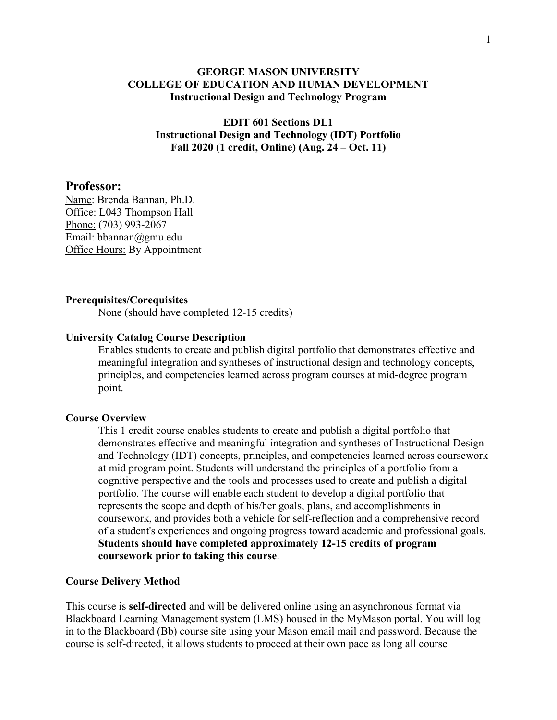#### **GEORGE MASON UNIVERSITY COLLEGE OF EDUCATION AND HUMAN DEVELOPMENT Instructional Design and Technology Program**

**EDIT 601 Sections DL1 Instructional Design and Technology (IDT) Portfolio Fall 2020 (1 credit, Online) (Aug. 24 – Oct. 11)**

#### **Professor:**

Name: Brenda Bannan, Ph.D. Office: L043 Thompson Hall Phone: (703) 993-2067 Email: bbannan@gmu.edu Office Hours: By Appointment

#### **Prerequisites/Corequisites**

None (should have completed 12-15 credits)

#### **University Catalog Course Description**

Enables students to create and publish digital portfolio that demonstrates effective and meaningful integration and syntheses of instructional design and technology concepts, principles, and competencies learned across program courses at mid-degree program point.

#### **Course Overview**

This 1 credit course enables students to create and publish a digital portfolio that demonstrates effective and meaningful integration and syntheses of Instructional Design and Technology (IDT) concepts, principles, and competencies learned across coursework at mid program point. Students will understand the principles of a portfolio from a cognitive perspective and the tools and processes used to create and publish a digital portfolio. The course will enable each student to develop a digital portfolio that represents the scope and depth of his/her goals, plans, and accomplishments in coursework, and provides both a vehicle for self-reflection and a comprehensive record of a student's experiences and ongoing progress toward academic and professional goals. **Students should have completed approximately 12-15 credits of program coursework prior to taking this course**.

#### **Course Delivery Method**

This course is **self-directed** and will be delivered online using an asynchronous format via Blackboard Learning Management system (LMS) housed in the MyMason portal. You will log in to the Blackboard (Bb) course site using your Mason email mail and password. Because the course is self-directed, it allows students to proceed at their own pace as long all course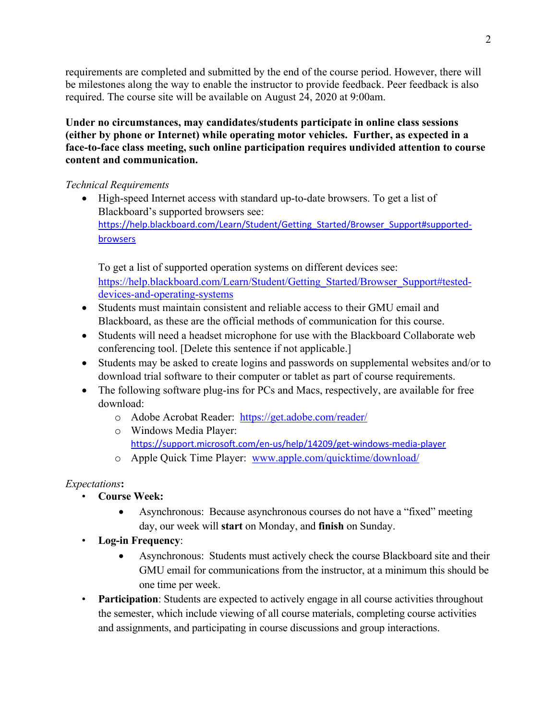requirements are completed and submitted by the end of the course period. However, there will be milestones along the way to enable the instructor to provide feedback. Peer feedback is also required. The course site will be available on August 24, 2020 at 9:00am.

**Under no circumstances, may candidates/students participate in online class sessions (either by phone or Internet) while operating motor vehicles. Further, as expected in a face-to-face class meeting, such online participation requires undivided attention to course content and communication.**

## *Technical Requirements*

• High-speed Internet access with standard up-to-date browsers. To get a list of Blackboard's supported browsers see: https://help.blackboard.com/Learn/Student/Getting Started/Browser Support#supported[browsers](https://help.blackboard.com/Learn/Student/Getting_Started/Browser_Support#supported-browsers)

To get a list of supported operation systems on different devices see: [https://help.blackboard.com/Learn/Student/Getting\\_Started/Browser\\_Support#tested](https://help.blackboard.com/Learn/Student/Getting_Started/Browser_Support#tested-devices-and-operating-systems)[devices-and-operating-systems](https://help.blackboard.com/Learn/Student/Getting_Started/Browser_Support#tested-devices-and-operating-systems)

- Students must maintain consistent and reliable access to their GMU email and Blackboard, as these are the official methods of communication for this course.
- Students will need a headset microphone for use with the Blackboard Collaborate web conferencing tool. [Delete this sentence if not applicable.]
- Students may be asked to create logins and passwords on supplemental websites and/or to download trial software to their computer or tablet as part of course requirements.
- The following software plug-ins for PCs and Macs, respectively, are available for free download:
	- o Adobe Acrobat Reader: <https://get.adobe.com/reader/>
	- o Windows Media Player: <https://support.microsoft.com/en-us/help/14209/get-windows-media-player>
	- o Apple Quick Time Player: [www.apple.com/quicktime/download/](http://www.apple.com/quicktime/download/)

## *Expectations***:**

- **Course Week:**
	- Asynchronous: Because asynchronous courses do not have a "fixed" meeting day, our week will **start** on Monday, and **finish** on Sunday.
- **Log-in Frequency**:
	- Asynchronous: Students must actively check the course Blackboard site and their GMU email for communications from the instructor, at a minimum this should be one time per week.
- **Participation**: Students are expected to actively engage in all course activities throughout the semester, which include viewing of all course materials, completing course activities and assignments, and participating in course discussions and group interactions.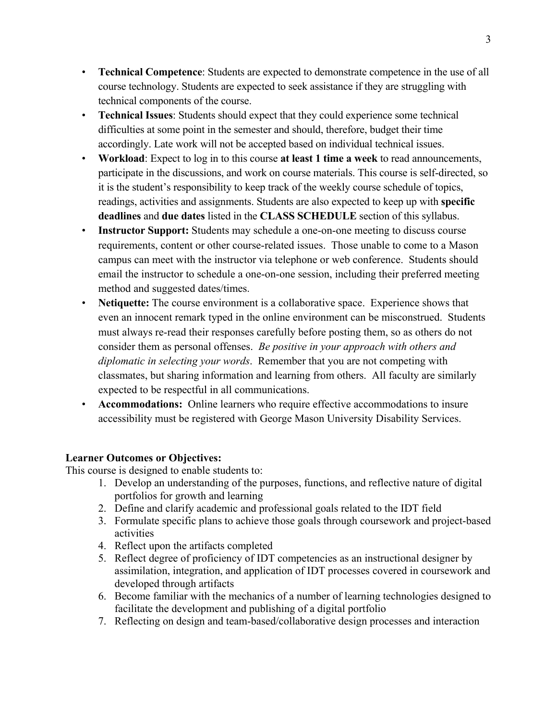- **Technical Competence**: Students are expected to demonstrate competence in the use of all course technology. Students are expected to seek assistance if they are struggling with technical components of the course.
- **Technical Issues**: Students should expect that they could experience some technical difficulties at some point in the semester and should, therefore, budget their time accordingly. Late work will not be accepted based on individual technical issues.
- **Workload**: Expect to log in to this course **at least 1 time a week** to read announcements, participate in the discussions, and work on course materials. This course is self-directed, so it is the student's responsibility to keep track of the weekly course schedule of topics, readings, activities and assignments. Students are also expected to keep up with **specific deadlines** and **due dates** listed in the **CLASS SCHEDULE** section of this syllabus.
- **Instructor Support:** Students may schedule a one-on-one meeting to discuss course requirements, content or other course-related issues. Those unable to come to a Mason campus can meet with the instructor via telephone or web conference. Students should email the instructor to schedule a one-on-one session, including their preferred meeting method and suggested dates/times.
- **Netiquette:** The course environment is a collaborative space. Experience shows that even an innocent remark typed in the online environment can be misconstrued. Students must always re-read their responses carefully before posting them, so as others do not consider them as personal offenses. *Be positive in your approach with others and diplomatic in selecting your words*. Remember that you are not competing with classmates, but sharing information and learning from others. All faculty are similarly expected to be respectful in all communications.
- **Accommodations:** Online learners who require effective accommodations to insure accessibility must be registered with George Mason University Disability Services.

### **Learner Outcomes or Objectives:**

This course is designed to enable students to:

- 1. Develop an understanding of the purposes, functions, and reflective nature of digital portfolios for growth and learning
- 2. Define and clarify academic and professional goals related to the IDT field
- 3. Formulate specific plans to achieve those goals through coursework and project-based activities
- 4. Reflect upon the artifacts completed
- 5. Reflect degree of proficiency of IDT competencies as an instructional designer by assimilation, integration, and application of IDT processes covered in coursework and developed through artifacts
- 6. Become familiar with the mechanics of a number of learning technologies designed to facilitate the development and publishing of a digital portfolio
- 7. Reflecting on design and team-based/collaborative design processes and interaction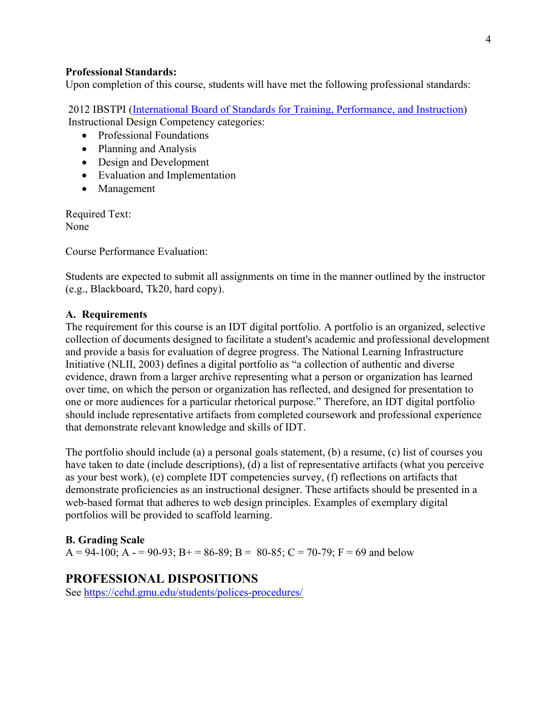#### **Professional Standards:**

Upon completion of this course, students will have met the following professional standards:

2012 IBSTPI [\(International Board of Standards for Training, Performance, and Instruction\)](http://ibstpi.org/introducing-the-2012-instructional-design-competencies/) Instructional Design Competency categories:

- Professional Foundations
- Planning and Analysis
- Design and Development
- Evaluation and Implementation
- Management

Required Text: None

Course Performance Evaluation:

Students are expected to submit all assignments on time in the manner outlined by the instructor (e.g., Blackboard, Tk20, hard copy).

#### **A. Requirements**

The requirement for this course is an IDT digital portfolio. A portfolio is an organized, selective collection of documents designed to facilitate a student's academic and professional development and provide a basis for evaluation of degree progress. The National Learning Infrastructure Initiative (NLII, 2003) defines a digital portfolio as "a collection of authentic and diverse evidence, drawn from a larger archive representing what a person or organization has learned over time, on which the person or organization has reflected, and designed for presentation to one or more audiences for a particular rhetorical purpose." Therefore, an IDT digital portfolio should include representative artifacts from completed coursework and professional experience that demonstrate relevant knowledge and skills of IDT.

The portfolio should include (a) a personal goals statement, (b) a resume, (c) list of courses you have taken to date (include descriptions), (d) a list of representative artifacts (what you perceive as your best work), (e) complete IDT competencies survey, (f) reflections on artifacts that demonstrate proficiencies as an instructional designer. These artifacts should be presented in a web-based format that adheres to web design principles. Examples of exemplary digital portfolios will be provided to scaffold learning.

#### **B. Grading Scale**

A = 94-100; A - = 90-93; B+ = 86-89; B = 80-85; C = 70-79; F = 69 and below

### **PROFESSIONAL DISPOSITIONS**

See<https://cehd.gmu.edu/students/polices-procedures/>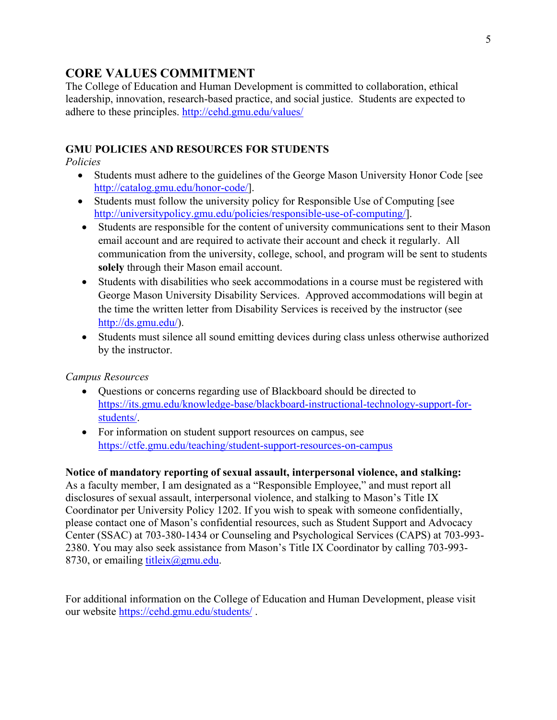# **CORE VALUES COMMITMENT**

The College of Education and Human Development is committed to collaboration, ethical leadership, innovation, research-based practice, and social justice. Students are expected to adhere to these principles. <http://cehd.gmu.edu/values/>

## **GMU POLICIES AND RESOURCES FOR STUDENTS**

*Policies*

- Students must adhere to the guidelines of the George Mason University Honor Code [see [http://catalog.gmu.edu/honor-code/\]](http://catalog.gmu.edu/honor-code/).
- Students must follow the university policy for Responsible Use of Computing [see [http://universitypolicy.gmu.edu/policies/responsible-use-of-computing/\]](http://universitypolicy.gmu.edu/policies/responsible-use-of-computing/).
- Students are responsible for the content of university communications sent to their Mason email account and are required to activate their account and check it regularly. All communication from the university, college, school, and program will be sent to students **solely** through their Mason email account.
- Students with disabilities who seek accommodations in a course must be registered with George Mason University Disability Services. Approved accommodations will begin at the time the written letter from Disability Services is received by the instructor (see [http://ds.gmu.edu/\)](http://ds.gmu.edu/).
- Students must silence all sound emitting devices during class unless otherwise authorized by the instructor.

### *Campus Resources*

- Questions or concerns regarding use of Blackboard should be directed to [https://its.gmu.edu/knowledge-base/blackboard-instructional-technology-support-for](https://its.gmu.edu/knowledge-base/blackboard-instructional-technology-support-for-students/)[students/.](https://its.gmu.edu/knowledge-base/blackboard-instructional-technology-support-for-students/)
- For information on student support resources on campus, see <https://ctfe.gmu.edu/teaching/student-support-resources-on-campus>

### **Notice of mandatory reporting of sexual assault, interpersonal violence, and stalking:**

As a faculty member, I am designated as a "Responsible Employee," and must report all disclosures of sexual assault, interpersonal violence, and stalking to Mason's Title IX Coordinator per University Policy 1202. If you wish to speak with someone confidentially, please contact one of Mason's confidential resources, such as Student Support and Advocacy Center (SSAC) at 703-380-1434 or Counseling and Psychological Services (CAPS) at 703-993- 2380. You may also seek assistance from Mason's Title IX Coordinator by calling 703-993- 8730, or emailing titleix $(\partial g$ mu.edu.

For additional information on the College of Education and Human Development, please visit our website<https://cehd.gmu.edu/students/> .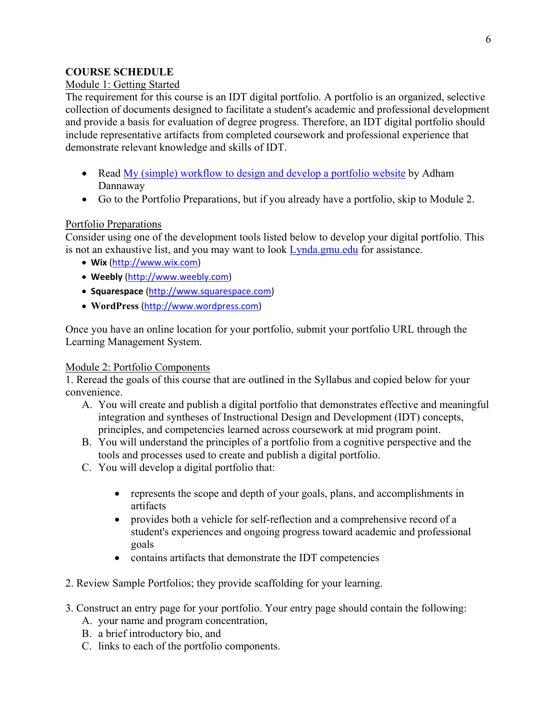## **COURSE SCHEDULE**

### Module 1: Getting Started

The requirement for this course is an IDT digital portfolio. A portfolio is an organized, selective collection of documents designed to facilitate a student's academic and professional development and provide a basis for evaluation of degree progress. Therefore, an IDT digital portfolio should include representative artifacts from completed coursework and professional experience that demonstrate relevant knowledge and skills of IDT.

- Read [My \(simple\) workflow to design and develop a portfolio website](http://www.smashingmagazine.com/2013/06/25/workflow-design-develop-modern-portfolio-website/) by Adham Dannaway
- Go to the Portfolio Preparations, but if you already have a portfolio, skip to Module 2.

### Portfolio Preparations

Consider using one of the development tools listed below to develop your digital portfolio. This is not an exhaustive list, and you may want to look [Lynda.gmu.edu](mailto:http://lynda.gmu.edu) for assistance.

- **Wix** [\(http://www.wix.com\)](http://www.wix.com/)
- **Weebly** [\(http://www.weebly.com\)](http://www.weebly.com/)
- **Squarespace** [\(http://www.squarespace.com\)](http://www.squarespace.com/)
- **WordPress** [\(http://www.wordpress.com\)](http://www.wordpress.com/)

Once you have an online location for your portfolio, submit your portfolio URL through the Learning Management System.

#### Module 2: Portfolio Components

1. Reread the goals of this course that are outlined in the Syllabus and copied below for your convenience.

- A. You will create and publish a digital portfolio that demonstrates effective and meaningful integration and syntheses of Instructional Design and Development (IDT) concepts, principles, and competencies learned across coursework at mid program point.
- B. You will understand the principles of a portfolio from a cognitive perspective and the tools and processes used to create and publish a digital portfolio.
- C. You will develop a digital portfolio that:
	- represents the scope and depth of your goals, plans, and accomplishments in artifacts
	- provides both a vehicle for self-reflection and a comprehensive record of a student's experiences and ongoing progress toward academic and professional goals
	- contains artifacts that demonstrate the IDT competencies
- 2. Review Sample Portfolios; they provide scaffolding for your learning.
- 3. Construct an entry page for your portfolio. Your entry page should contain the following:
	- A. your name and program concentration,
	- B. a brief introductory bio, and
	- C. links to each of the portfolio components.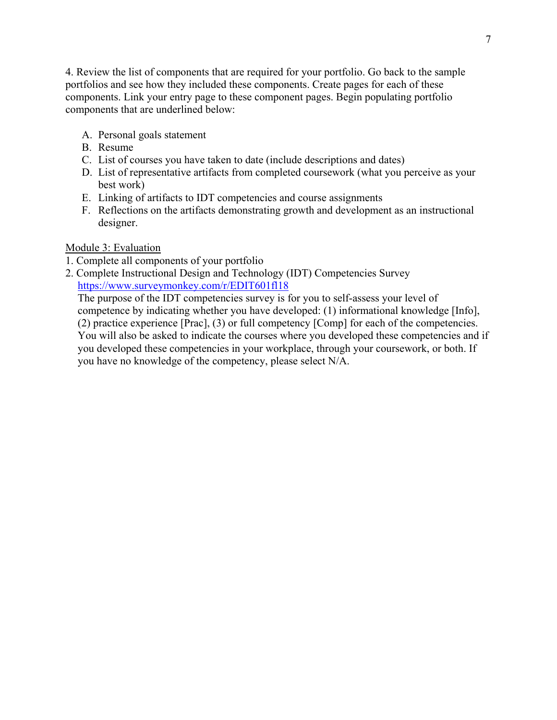4. Review the list of components that are required for your portfolio. Go back to the sample portfolios and see how they included these components. Create pages for each of these components. Link your entry page to these component pages. Begin populating portfolio components that are underlined below:

- A. Personal goals statement
- B. Resume
- C. List of courses you have taken to date (include descriptions and dates)
- D. List of representative artifacts from completed coursework (what you perceive as your best work)
- E. Linking of artifacts to IDT competencies and course assignments
- F. Reflections on the artifacts demonstrating growth and development as an instructional designer.

### Module 3: Evaluation

- 1. Complete all components of your portfolio
- 2. Complete Instructional Design and Technology (IDT) Competencies Survey https://www.surveymonkey.com/r/EDIT601fl18

The purpose of the IDT competencies survey is for you to self-assess your level of competence by indicating whether you have developed: (1) informational knowledge [Info], (2) practice experience [Prac], (3) or full competency [Comp] for each of the competencies. You will also be asked to indicate the courses where you developed these competencies and if you developed these competencies in your workplace, through your coursework, or both. If you have no knowledge of the competency, please select N/A.